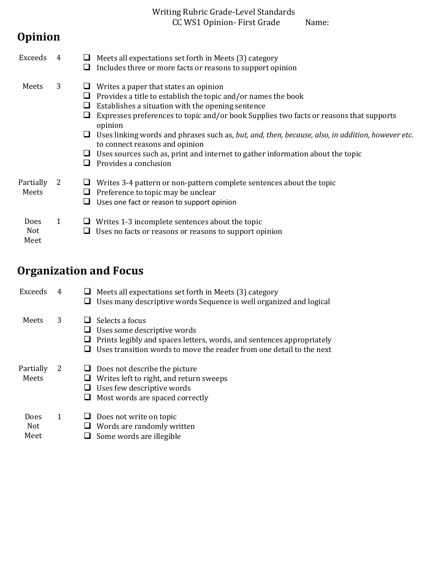## Writing Rubric Grade-Level Standards CC WS1 Opinion- First Grade Name:

## **Opinion**

| Exceeds                           |   |   | Meets all expectations set forth in Meets (3) category<br>Includes three or more facts or reasons to support opinion                                                                                                                                                                                                                                                                                                                                                                                              |
|-----------------------------------|---|---|-------------------------------------------------------------------------------------------------------------------------------------------------------------------------------------------------------------------------------------------------------------------------------------------------------------------------------------------------------------------------------------------------------------------------------------------------------------------------------------------------------------------|
| Meets                             | 3 | ப | Writes a paper that states an opinion<br>Provides a title to establish the topic and/or names the book<br>Establishes a situation with the opening sentence<br>Expresses preferences to topic and/or book Supplies two facts or reasons that supports<br>opinion<br>Uses linking words and phrases such as, but, and, then, because, also, in addition, however etc.<br>to connect reasons and opinion<br>Uses sources such as, print and internet to gather information about the topic<br>Provides a conclusion |
| Partially<br>Meets                | 2 | □ | Writes 3-4 pattern or non-pattern complete sentences about the topic<br>Preference to topic may be unclear<br>Uses one fact or reason to support opinion                                                                                                                                                                                                                                                                                                                                                          |
| <b>Does</b><br><b>Not</b><br>Meet | 1 |   | Writes 1-3 incomplete sentences about the topic<br>Uses no facts or reasons or reasons to support opinion                                                                                                                                                                                                                                                                                                                                                                                                         |

## **Organization and Focus**

| Exceeds             | 4 | Meets all expectations set forth in Meets (3) category<br>Uses many descriptive words Sequence is well organized and logical                                                                    |
|---------------------|---|-------------------------------------------------------------------------------------------------------------------------------------------------------------------------------------------------|
| Meets               | 3 | Selects a focus<br>Uses some descriptive words<br>Prints legibly and spaces letters, words, and sentences appropriately<br>Uses transition words to move the reader from one detail to the next |
| Partially<br>Meets  | 2 | Does not describe the picture<br>Writes left to right, and return sweeps<br>Uses few descriptive words<br>Most words are spaced correctly                                                       |
| Does<br>Not<br>Meet | 1 | $\Box$ Does not write on topic<br>Words are randomly written<br>Some words are illegible                                                                                                        |